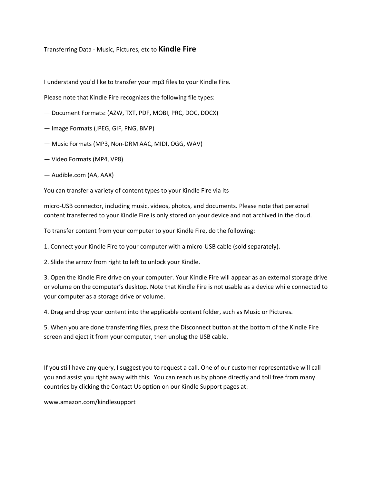## Transferring Data - Music, Pictures, etc to **Kindle Fire**

I understand you'd like to transfer your mp3 files to your Kindle Fire.

Please note that Kindle Fire recognizes the following file types:

- Document Formats: (AZW, TXT, PDF, MOBI, PRC, DOC, DOCX)
- Image Formats (JPEG, GIF, PNG, BMP)
- Music Formats (MP3, Non-DRM AAC, MIDI, OGG, WAV)
- Video Formats (MP4, VP8)
- Audible.com (AA, AAX)

You can transfer a variety of content types to your Kindle Fire via its

micro-USB connector, including music, videos, photos, and documents. Please note that personal content transferred to your Kindle Fire is only stored on your device and not archived in the cloud.

To transfer content from your computer to your Kindle Fire, do the following:

1. Connect your Kindle Fire to your computer with a micro-USB cable (sold separately).

2. Slide the arrow from right to left to unlock your Kindle.

3. Open the Kindle Fire drive on your computer. Your Kindle Fire will appear as an external storage drive or volume on the computer's desktop. Note that Kindle Fire is not usable as a device while connected to your computer as a storage drive or volume.

4. Drag and drop your content into the applicable content folder, such as Music or Pictures.

5. When you are done transferring files, press the Disconnect button at the bottom of the Kindle Fire screen and eject it from your computer, then unplug the USB cable.

If you still have any query, I suggest you to request a call. One of our customer representative will call you and assist you right away with this. You can reach us by phone directly and toll free from many countries by clicking the Contact Us option on our Kindle Support pages at:

www.amazon.com/kindlesupport